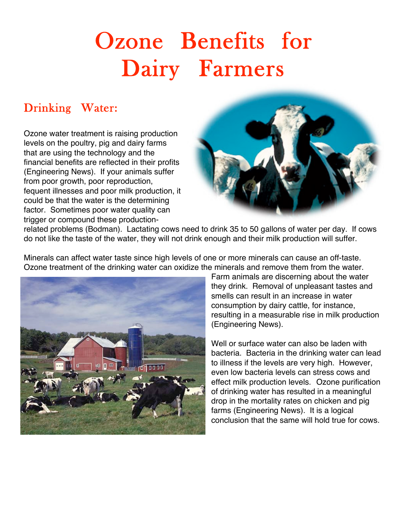# Ozone Benefits for Dairy Farmers

## Drinking Water:

Ozone water treatment is raising production levels on the poultry, pig and dairy farms that are using the technology and the financial benefits are reflected in their profits (Engineering News). If your animals suffer from poor growth, poor reproduction, fequent illnesses and poor milk production, it could be that the water is the determining factor. Sometimes poor water quality can trigger or compound these production-



related problems (Bodman). Lactating cows need to drink 35 to 50 gallons of water per day. If cows do not like the taste of the water, they will not drink enough and their milk production will suffer.

Minerals can affect water taste since high levels of one or more minerals can cause an off-taste. Ozone treatment of the drinking water can oxidize the minerals and remove them from the water.



Farm animals are discerning about the water they drink. Removal of unpleasant tastes and smells can result in an increase in water consumption by dairy cattle, for instance, resulting in a measurable rise in milk production (Engineering News).

Well or surface water can also be laden with bacteria. Bacteria in the drinking water can lead to illness if the levels are very high. However, even low bacteria levels can stress cows and effect milk production levels. Ozone purification of drinking water has resulted in a meaningful drop in the mortality rates on chicken and pig farms (Engineering News). It is a logical conclusion that the same will hold true for cows.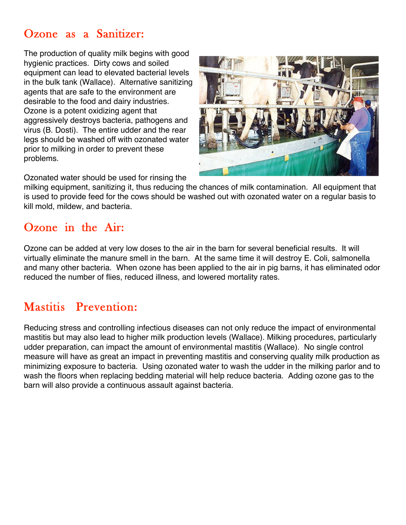### Ozone as a Sanitizer:

The production of quality milk begins with good hygienic practices. Dirty cows and soiled equipment can lead to elevated bacterial levels in the bulk tank (Wallace). Alternative sanitizing agents that are safe to the environment are desirable to the food and dairy industries. Ozone is a potent oxidizing agent that aggressively destroys bacteria, pathogens and virus (B. Dosti). The entire udder and the rear legs should be washed off with ozonated water prior to milking in order to prevent these problems.



Ozonated water should be used for rinsing the

milking equipment, sanitizing it, thus reducing the chances of milk contamination. All equipment that is used to provide feed for the cows should be washed out with ozonated water on a regular basis to kill mold, mildew, and bacteria.

#### Ozone in the Air:

Ozone can be added at very low doses to the air in the barn for several beneficial results. It will virtually eliminate the manure smell in the barn. At the same time it will destroy E. Coli, salmonella and many other bacteria. When ozone has been applied to the air in pig barns, it has eliminated odor reduced the number of flies, reduced illness, and lowered mortality rates.

## Mastitis Prevention:

Reducing stress and controlling infectious diseases can not only reduce the impact of environmental mastitis but may also lead to higher milk production levels (Wallace). Milking procedures, particularly udder preparation, can impact the amount of environmental mastitis (Wallace). No single control measure will have as great an impact in preventing mastitis and conserving quality milk production as minimizing exposure to bacteria. Using ozonated water to wash the udder in the milking parlor and to wash the floors when replacing bedding material will help reduce bacteria. Adding ozone gas to the barn will also provide a continuous assault against bacteria.